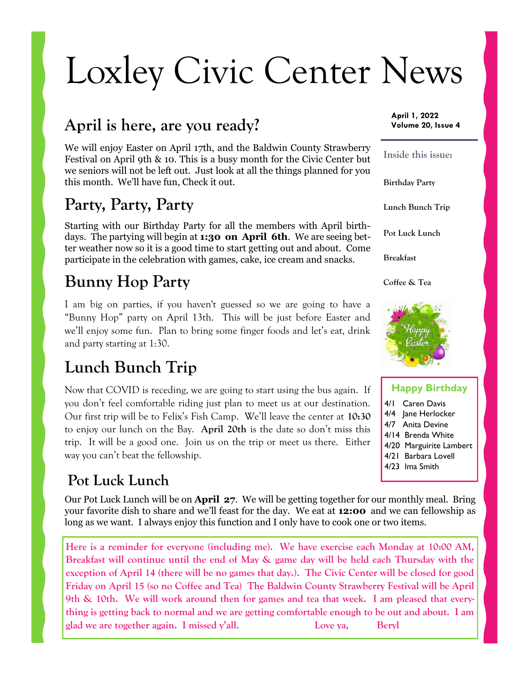# Loxley Civic Center News

## **April is here, are you ready?**

We will enjoy Easter on April 17th, and the Baldwin County Strawberry Festival on April 9th & 10. This is a busy month for the Civic Center but we seniors will not be left out. Just look at all the things planned for you this month. We'll have fun, Check it out.

## **Party, Party, Party**

Starting with our Birthday Party for all the members with April birthdays. The partying will begin at **1:30 on April 6th**. We are seeing better weather now so it is a good time to start getting out and about. Come participate in the celebration with games, cake, ice cream and snacks.

# **Bunny Hop Party**

I am big on parties, if you haven't guessed so we are going to have a "Bunny Hop" party on April 13th. This will be just before Easter and we'll enjoy some fun. Plan to bring some finger foods and let's eat, drink and party starting at 1:30.

# **Lunch Bunch Trip**

Now that COVID is receding, we are going to start using the bus again. If you don't feel comfortable riding just plan to meet us at our destination. Our first trip will be to Felix's Fish Camp. We'll leave the center at **10:30**  to enjoy our lunch on the Bay. **April 20th** is the date so don't miss this trip. It will be a good one. Join us on the trip or meet us there. Either way you can't beat the fellowship.

#### **Pot Luck Lunch**

Our Pot Luck Lunch will be on **April 27**. We will be getting together for our monthly meal. Bring your favorite dish to share and we'll feast for the day. We eat at **12:00** and we can fellowship as long as we want. I always enjoy this function and I only have to cook one or two items.

**Here is a reminder for everyone (including me). We have exercise each Monday at 10:00 AM, Breakfast will continue until the end of May & game day will be held each Thursday with the exception of April 14 (there will be no games that day.). The Civic Center will be closed for good Friday on April 15 (so no Coffee and Tea) The Baldwin County Strawberry Festival will be April 9th & 10th. We will work around then for games and tea that week. I am pleased that everything is getting back to normal and we are getting comfortable enough to be out and about. I am glad we are together again. I missed y'all. Love ya, Beryl**

**April 1, 2022 Volume 20, Issue 4**



#### **Happy Birthday**

4/1 Caren Davis 4/4 Jane Herlocker 4/7 Anita Devine 4/14 Brenda White 4/20 Marguirite Lambert 4/21 Barbara Lovell 4/23 Ima Smith